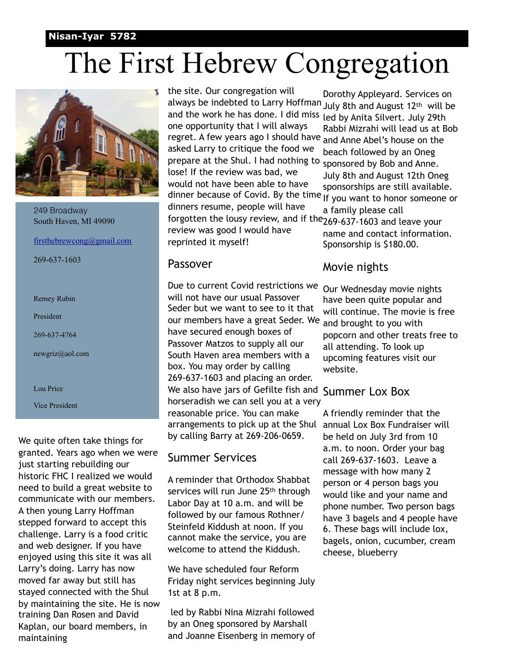#### **Nisan-Iyar 5782**

# The First Hebrew Congregation



249 Broadway South Haven, MI 49090

[firsthebrewcong@gmail.com](mailto:firsthebrewcong@frontier.com)

269-637-1603

- Remey Rubin
- President
- 269-637-4764
- newgriz@aol.com

Lou Price

Vice President

We quite often take things for granted. Years ago when we were just starting rebuilding our historic FHC I realized we would need to build a great website to communicate with our members. A then young Larry Hoffman stepped forward to accept this challenge. Larry is a food critic and web designer. If you have enjoyed using this site it was all Larry's doing. Larry has now moved far away but still has stayed connected with the Shul by maintaining the site. He is now training Dan Rosen and David Kaplan, our board members, in maintaining

the site. Our congregation will always be indebted to Larry Hoffman July 8th and August 12<sup>th</sup> will be and the work he has done. I did miss one opportunity that I will always regret. A few years ago I should have <sub>and Anne Abel's house on the</sub> asked Larry to critique the food we prepare at the Shul. I had nothing to lose! If the review was bad, we would not have been able to have dinner because of Covid. By the time If you want to honor someone or dinners resume, people will have forgotten the lousy review, and if the 269-637-1603 and leave your review was good I would have reprinted it myself!

#### Passover

Due to current Covid restrictions we will not have our usual Passover Seder but we want to see to it that our members have a great Seder. We have secured enough boxes of Passover Matzos to supply all our South Haven area members with a box. You may order by calling 269-637-1603 and placing an order. We also have jars of Gefilte fish and Summer Lox Box horseradish we can sell you at a very reasonable price. You can make arrangements to pick up at the Shul by calling Barry at 269-206-0659.

#### Summer Services

A reminder that Orthodox Shabbat services will run June 25<sup>th</sup> through Labor Day at 10 a.m. and will be followed by our famous Rothner/ Steinfeld Kiddush at noon. If you cannot make the service, you are welcome to attend the Kiddush.

We have scheduled four Reform Friday night services beginning July 1st at 8 p.m.

 led by Rabbi Nina Mizrahi followed by an Oneg sponsored by Marshall and Joanne Eisenberg in memory of

Dorothy Appleyard. Services on led by Anita Silvert. July 29th Rabbi Mizrahi will lead us at Bob beach followed by an Oneg sponsored by Bob and Anne. July 8th and August 12th Oneg sponsorships are still available. a family please call name and contact information. Sponsorship is \$180.00.

### Movie nights

Our Wednesday movie nights have been quite popular and will continue. The movie is free and brought to you with popcorn and other treats free to all attending. To look up upcoming features visit our website.

A friendly reminder that the annual Lox Box Fundraiser will be held on July 3rd from 10 a.m. to noon. Order your bag call 269-637-1603. Leave a message with how many 2 person or 4 person bags you would like and your name and phone number. Two person bags have 3 bagels and 4 people have 6. These bags will include lox, bagels, onion, cucumber, cream cheese, blueberry